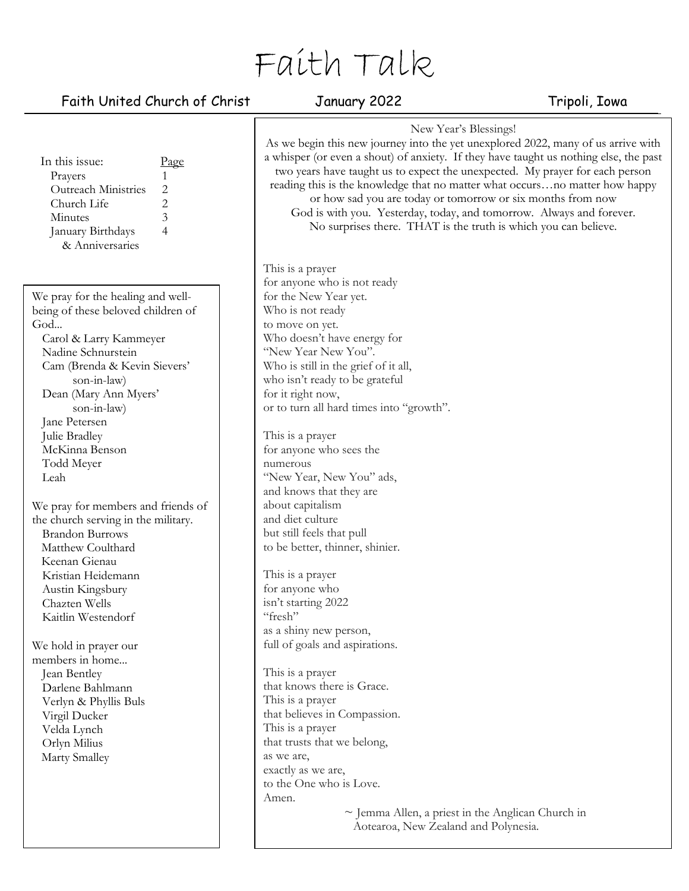# Faith Talk

## Faith United Church of Christ January 2022 Tripoli, Iowa

| In this issue:<br>Page<br>Prayers<br>1<br>Outreach Ministries<br>$\mathbf{2}$<br>$\overline{c}$<br>Church Life<br>$\mathfrak{Z}$<br>Minutes<br>4<br>January Birthdays<br>& Anniversaries                                                                                                                                                                                                                                                                                                                                                                                                                                                                               | New Year's Blessings!<br>As we begin this new journey into the yet unexplored 2022, many of us arrive with<br>a whisper (or even a shout) of anxiety. If they have taught us nothing else, the past<br>two years have taught us to expect the unexpected. My prayer for each person<br>reading this is the knowledge that no matter what occursno matter how happy<br>or how sad you are today or tomorrow or six months from now<br>God is with you. Yesterday, today, and tomorrow. Always and forever.<br>No surprises there. THAT is the truth is which you can believe.                                                                                                                                                                                                                             |  |
|------------------------------------------------------------------------------------------------------------------------------------------------------------------------------------------------------------------------------------------------------------------------------------------------------------------------------------------------------------------------------------------------------------------------------------------------------------------------------------------------------------------------------------------------------------------------------------------------------------------------------------------------------------------------|----------------------------------------------------------------------------------------------------------------------------------------------------------------------------------------------------------------------------------------------------------------------------------------------------------------------------------------------------------------------------------------------------------------------------------------------------------------------------------------------------------------------------------------------------------------------------------------------------------------------------------------------------------------------------------------------------------------------------------------------------------------------------------------------------------|--|
| We pray for the healing and well-<br>being of these beloved children of<br>God<br>Carol & Larry Kammeyer<br>Nadine Schnurstein<br>Cam (Brenda & Kevin Sievers'<br>son-in-law)<br>Dean (Mary Ann Myers'<br>son-in-law)<br>Jane Petersen<br>Julie Bradley<br>McKinna Benson<br>Todd Meyer<br>Leah<br>We pray for members and friends of<br>the church serving in the military.<br><b>Brandon Burrows</b><br>Matthew Coulthard<br>Keenan Gienau<br>Kristian Heidemann<br>Austin Kingsbury<br>Chazten Wells<br>Kaitlin Westendorf<br>We hold in prayer our<br>members in home<br>Jean Bentley<br>Darlene Bahlmann<br>Verlyn & Phyllis Buls<br>Virgil Ducker<br>Velda Lynch | This is a prayer<br>for anyone who is not ready<br>for the New Year yet.<br>Who is not ready<br>to move on yet.<br>Who doesn't have energy for<br>"New Year New You".<br>Who is still in the grief of it all,<br>who isn't ready to be grateful<br>for it right now,<br>or to turn all hard times into "growth".<br>This is a prayer<br>for anyone who sees the<br>numerous<br>"New Year, New You" ads,<br>and knows that they are<br>about capitalism<br>and diet culture<br>but still feels that pull<br>to be better, thinner, shinier.<br>This is a prayer<br>for anyone who<br>isn't starting 2022<br>"fresh"<br>as a shiny new person,<br>full of goals and aspirations.<br>This is a prayer<br>that knows there is Grace.<br>This is a prayer<br>that believes in Compassion.<br>This is a prayer |  |
| Orlyn Milius<br>Marty Smalley                                                                                                                                                                                                                                                                                                                                                                                                                                                                                                                                                                                                                                          | that trusts that we belong,<br>as we are,<br>exactly as we are,<br>to the One who is Love.<br>Amen.<br>$\sim$ Jemma Allen, a priest in the Anglican Church in<br>Aotearoa, New Zealand and Polynesia.                                                                                                                                                                                                                                                                                                                                                                                                                                                                                                                                                                                                    |  |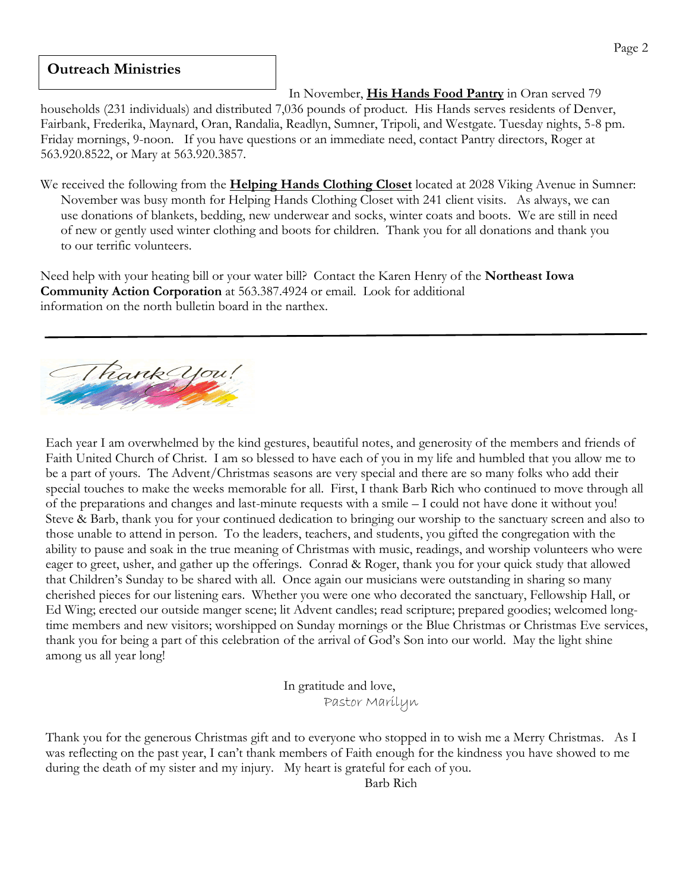#### **Outreach Ministries**

In November, **His Hands Food Pantry** in Oran served 79

households (231 individuals) and distributed 7,036 pounds of product. His Hands serves residents of Denver, Fairbank, Frederika, Maynard, Oran, Randalia, Readlyn, Sumner, Tripoli, and Westgate. Tuesday nights, 5-8 pm. Friday mornings, 9-noon. If you have questions or an immediate need, contact Pantry directors, Roger at 563.920.8522, or Mary at 563.920.3857.

We received the following from the **Helping Hands Clothing Closet** located at 2028 Viking Avenue in Sumner: November was busy month for Helping Hands Clothing Closet with 241 client visits. As always, we can use donations of blankets, bedding, new underwear and socks, winter coats and boots. We are still in need of new or gently used winter clothing and boots for children. Thank you for all donations and thank you to our terrific volunteers.

Need help with your heating bill or your water bill? Contact the Karen Henry of the **Northeast Iowa Community Action Corporation** at 563.387.4924 or email. Look for additional information on the north bulletin board in the narthex.



Each [year I am o](about:blank)verwhelmed by the kind gestures, beautiful notes, and generosity of the members and friends of Faith United Church of Christ. I am so blessed to have each of you in my life and humbled that you allow me to be a part of yours. The Advent/Christmas seasons are very special and there are so many folks who add their special touches to make the weeks memorable for all. First, I thank Barb Rich who continued to move through all of the preparations and changes and last-minute requests with a smile – I could not have done it without you! Steve & Barb, thank you for your continued dedication to bringing our worship to the sanctuary screen and also to those unable to attend in person. To the leaders, teachers, and students, you gifted the congregation with the ability to pause and soak in the true meaning of Christmas with music, readings, and worship volunteers who were eager to greet, usher, and gather up the offerings. Conrad & Roger, thank you for your quick study that allowed that Children's Sunday to be shared with all. Once again our musicians were outstanding in sharing so many cherished pieces for our listening ears. Whether you were one who decorated the sanctuary, Fellowship Hall, or Ed Wing; erected our outside manger scene; lit Advent candles; read scripture; prepared goodies; welcomed longtime members and new visitors; worshipped on Sunday mornings or the Blue Christmas or Christmas Eve services, thank you for being a part of this celebration of the arrival of God's Son into our world. May the light shine among us all year long!

> In gratitude and love, Pastor Marilyn

Thank you for the generous Christmas gift and to everyone who stopped in to wish me a Merry Christmas. As I was reflecting on the past year, I can't thank members of Faith enough for the kindness you have showed to me during the death of my sister and my injury. My heart is grateful for each of you.

Barb Rich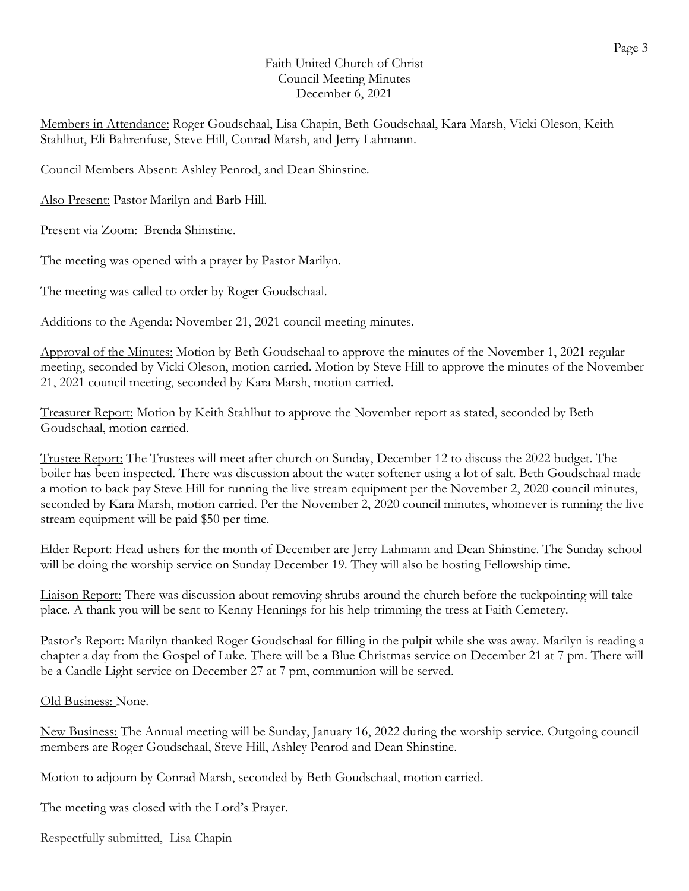#### Faith United Church of Christ Council Meeting Minutes December 6, 2021

Members in Attendance: Roger Goudschaal, Lisa Chapin, Beth Goudschaal, Kara Marsh, Vicki Oleson, Keith Stahlhut, Eli Bahrenfuse, Steve Hill, Conrad Marsh, and Jerry Lahmann.

Council Members Absent: Ashley Penrod, and Dean Shinstine.

Also Present: Pastor Marilyn and Barb Hill.

Present via Zoom: Brenda Shinstine.

The meeting was opened with a prayer by Pastor Marilyn.

The meeting was called to order by Roger Goudschaal.

Additions to the Agenda: November 21, 2021 council meeting minutes.

Approval of the Minutes: Motion by Beth Goudschaal to approve the minutes of the November 1, 2021 regular meeting, seconded by Vicki Oleson, motion carried. Motion by Steve Hill to approve the minutes of the November 21, 2021 council meeting, seconded by Kara Marsh, motion carried.

Treasurer Report: Motion by Keith Stahlhut to approve the November report as stated, seconded by Beth Goudschaal, motion carried.

Trustee Report: The Trustees will meet after church on Sunday, December 12 to discuss the 2022 budget. The boiler has been inspected. There was discussion about the water softener using a lot of salt. Beth Goudschaal made a motion to back pay Steve Hill for running the live stream equipment per the November 2, 2020 council minutes, seconded by Kara Marsh, motion carried. Per the November 2, 2020 council minutes, whomever is running the live stream equipment will be paid \$50 per time.

Elder Report: Head ushers for the month of December are Jerry Lahmann and Dean Shinstine. The Sunday school will be doing the worship service on Sunday December 19. They will also be hosting Fellowship time.

Liaison Report: There was discussion about removing shrubs around the church before the tuckpointing will take place. A thank you will be sent to Kenny Hennings for his help trimming the tress at Faith Cemetery.

Pastor's Report: Marilyn thanked Roger Goudschaal for filling in the pulpit while she was away. Marilyn is reading a chapter a day from the Gospel of Luke. There will be a Blue Christmas service on December 21 at 7 pm. There will be a Candle Light service on December 27 at 7 pm, communion will be served.

### Old Business: None.

New Business: The Annual meeting will be Sunday, January 16, 2022 during the worship service. Outgoing council members are Roger Goudschaal, Steve Hill, Ashley Penrod and Dean Shinstine.

Motion to adjourn by Conrad Marsh, seconded by Beth Goudschaal, motion carried.

The meeting was closed with the Lord's Prayer.

Respectfully submitted, Lisa Chapin